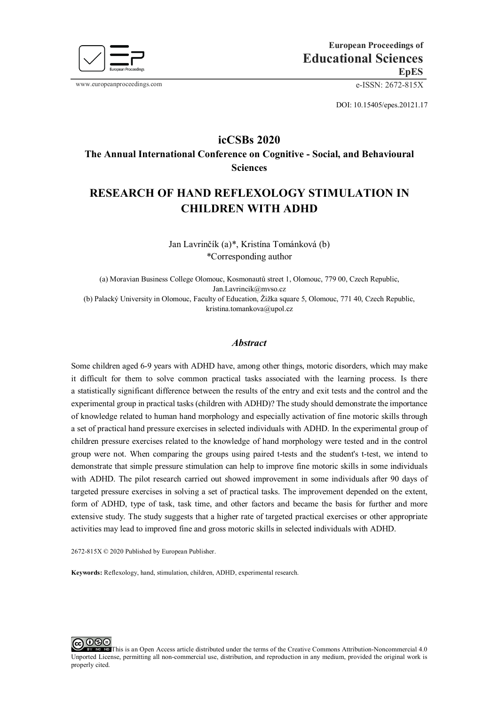

www.europeanproceedings.com e-ISSN: 2672-815X

DOI: 10.15405/epes.20121.17

## **icCSBs 2020 The Annual International Conference on Cognitive - Social, and Behavioural Sciences**

# **RESEARCH OF HAND REFLEXOLOGY STIMULATION IN CHILDREN WITH ADHD**

Jan Lavrinčík (a)\*, Kristína Tománková (b) \*Corresponding author

(a) Moravian Business College Olomouc, Kosmonautů street 1, Olomouc, 779 00, Czech Republic, Jan.Lavrincik@mvso.cz (b) Palacký University in Olomouc, Faculty of Education, Žižka square 5, Olomouc, 771 40, Czech Republic, kristina.tomankova@upol.cz

### *Abstract*

Some children aged 6-9 years with ADHD have, among other things, motoric disorders, which may make it difficult for them to solve common practical tasks associated with the learning process. Is there a statistically significant difference between the results of the entry and exit tests and the control and the experimental group in practical tasks (children with ADHD)? The study should demonstrate the importance of knowledge related to human hand morphology and especially activation of fine motoric skills through a set of practical hand pressure exercises in selected individuals with ADHD. In the experimental group of children pressure exercises related to the knowledge of hand morphology were tested and in the control group were not. When comparing the groups using paired t-tests and the student's t-test, we intend to demonstrate that simple pressure stimulation can help to improve fine motoric skills in some individuals with ADHD. The pilot research carried out showed improvement in some individuals after 90 days of targeted pressure exercises in solving a set of practical tasks. The improvement depended on the extent, form of ADHD, type of task, task time, and other factors and became the basis for further and more extensive study. The study suggests that a higher rate of targeted practical exercises or other appropriate activities may lead to improved fine and gross motoric skills in selected individuals with ADHD.

2672-815X © 2020 Published by European Publisher.

**Keywords:** Reflexology, hand, stimulation, children, ADHD, experimental research.

 $O@@$ [T](http://creativecommons.org/licenses/by-nc-nd/4.0/)his is an Open Access article distributed under the terms of the Creative Commons Attribution-Noncommercial 4.0 Unported License, permitting all non-commercial use, distribution, and reproduction in any medium, provided the original work is properly cited.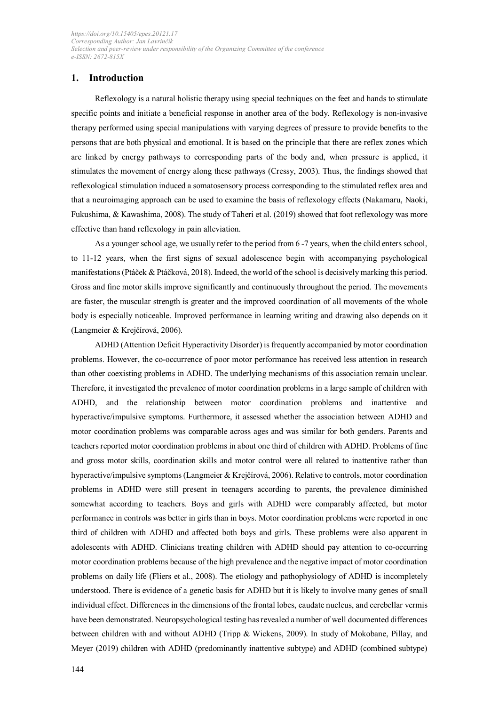### **1. Introduction**

Reflexology is a natural holistic therapy using special techniques on the feet and hands to stimulate specific points and initiate a beneficial response in another area of the body. Reflexology is non-invasive therapy performed using special manipulations with varying degrees of pressure to provide benefits to the persons that are both physical and emotional. It is based on the principle that there are reflex zones which are linked by energy pathways to corresponding parts of the body and, when pressure is applied, it stimulates the movement of energy along these pathways (Cressy, 2003). Thus, the findings showed that reflexological stimulation induced a somatosensory process corresponding to the stimulated reflex area and that a neuroimaging approach can be used to examine the basis of reflexology effects (Nakamaru, Naoki, Fukushima, & Kawashima, 2008). The study of Taheri et al. (2019) showed that foot reflexology was more effective than hand reflexology in pain alleviation.

As a younger school age, we usually refer to the period from 6 -7 years, when the child enters school, to 11-12 years, when the first signs of sexual adolescence begin with accompanying psychological manifestations(Ptáček & Ptáčková, 2018). Indeed, the world of the school is decisively marking this period. Gross and fine motor skills improve significantly and continuously throughout the period. The movements are faster, the muscular strength is greater and the improved coordination of all movements of the whole body is especially noticeable. Improved performance in learning writing and drawing also depends on it (Langmeier & Krejčírová, 2006).

ADHD (Attention Deficit Hyperactivity Disorder) is frequently accompanied by motor coordination problems. However, the co-occurrence of poor motor performance has received less attention in research than other coexisting problems in ADHD. The underlying mechanisms of this association remain unclear. Therefore, it investigated the prevalence of motor coordination problems in a large sample of children with ADHD, and the relationship between motor coordination problems and inattentive and hyperactive/impulsive symptoms. Furthermore, it assessed whether the association between ADHD and motor coordination problems was comparable across ages and was similar for both genders. Parents and teachers reported motor coordination problems in about one third of children with ADHD. Problems of fine and gross motor skills, coordination skills and motor control were all related to inattentive rather than hyperactive/impulsive symptoms (Langmeier & Krejčírová, 2006). Relative to controls, motor coordination problems in ADHD were still present in teenagers according to parents, the prevalence diminished somewhat according to teachers. Boys and girls with ADHD were comparably affected, but motor performance in controls was better in girls than in boys. Motor coordination problems were reported in one third of children with ADHD and affected both boys and girls. These problems were also apparent in adolescents with ADHD. Clinicians treating children with ADHD should pay attention to co-occurring motor coordination problems because of the high prevalence and the negative impact of motor coordination problems on daily life (Fliers et al., 2008). The etiology and pathophysiology of ADHD is incompletely understood. There is evidence of a genetic basis for ADHD but it is likely to involve many genes of small individual effect. Differences in the dimensions of the frontal lobes, caudate nucleus, and cerebellar vermis have been demonstrated. Neuropsychological testing has revealed a number of well documented differences between children with and without ADHD (Tripp & Wickens, 2009). In study of Mokobane, Pillay, and Meyer (2019) children with ADHD (predominantly inattentive subtype) and ADHD (combined subtype)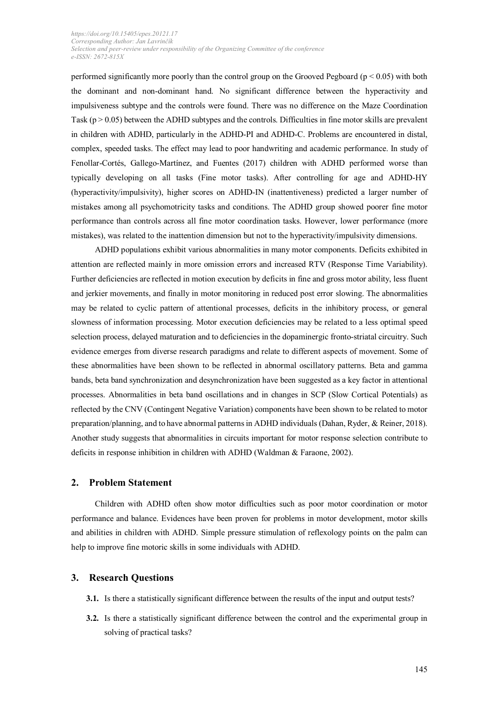performed significantly more poorly than the control group on the Grooved Pegboard ( $p < 0.05$ ) with both the dominant and non-dominant hand. No significant difference between the hyperactivity and impulsiveness subtype and the controls were found. There was no difference on the Maze Coordination Task ( $p > 0.05$ ) between the ADHD subtypes and the controls. Difficulties in fine motor skills are prevalent in children with ADHD, particularly in the ADHD-PI and ADHD-C. Problems are encountered in distal, complex, speeded tasks. The effect may lead to poor handwriting and academic performance. In study of Fenollar-Cortés, Gallego-Martínez, and Fuentes (2017) children with ADHD performed worse than typically developing on all tasks (Fine motor tasks). After controlling for age and ADHD-HY (hyperactivity/impulsivity), higher scores on ADHD-IN (inattentiveness) predicted a larger number of mistakes among all psychomotricity tasks and conditions. The ADHD group showed poorer fine motor performance than controls across all fine motor coordination tasks. However, lower performance (more mistakes), was related to the inattention dimension but not to the hyperactivity/impulsivity dimensions.

ADHD populations exhibit various abnormalities in many motor components. Deficits exhibited in attention are reflected mainly in more omission errors and increased RTV (Response Time Variability). Further deficiencies are reflected in motion execution by deficits in fine and gross motor ability, less fluent and jerkier movements, and finally in motor monitoring in reduced post error slowing. The abnormalities may be related to cyclic pattern of attentional processes, deficits in the inhibitory process, or general slowness of information processing. Motor execution deficiencies may be related to a less optimal speed selection process, delayed maturation and to deficiencies in the [dopaminergic](https://www.sciencedirect.com/topics/neuroscience/dopaminergic) fronto-striatal circuitry. Such evidence emerges from diverse research paradigms and relate to different aspects of movement. Some of these abnormalities have been shown to be reflected in abnormal oscillatory patterns. Beta and gamma bands, beta band synchronization and desynchronization have been suggested as a key factor in attentional processes. Abnormalities in beta band oscillations and in changes in SCP (Slow Cortical Potentials) as reflected by the CNV (Contingent Negative Variation) components have been shown to be related to motor preparation/planning, and to have abnormal patterns in ADHD individuals (Dahan, Ryder, & Reiner, 2018). Another study suggests that abnormalities in circuits important for motor response selection contribute to deficits in response inhibition in children with ADHD (Waldman & Faraone, 2002).

### **2. Problem Statement**

Children with ADHD often show motor difficulties such as poor motor coordination or motor performance and balance. Evidences have been proven for problems in motor development, motor skills and abilities in children with ADHD. Simple pressure stimulation of reflexology points on the palm can help to improve fine motoric skills in some individuals with ADHD.

### **3. Research Questions**

- **3.1.** Is there a statistically significant difference between the results of the input and output tests?
- **3.2.** Is there a statistically significant difference between the control and the experimental group in solving of practical tasks?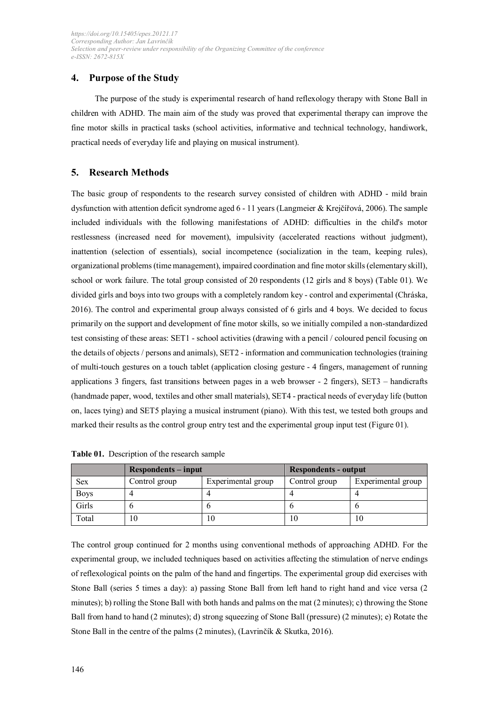### **4. Purpose of the Study**

The purpose of the study is experimental research of hand reflexology therapy with Stone Ball in children with ADHD. The main aim of the study was proved that experimental therapy can improve the fine motor skills in practical tasks (school activities, informative and technical technology, handiwork, practical needs of everyday life and playing on musical instrument).

### **5. Research Methods**

The basic group of respondents to the research survey consisted of children with ADHD - mild brain dysfunction with attention deficit syndrome aged 6 - 11 years (Langmeier & Krejčířová, 2006). The sample included individuals with the following manifestations of ADHD: difficulties in the child's motor restlessness (increased need for movement), impulsivity (accelerated reactions without judgment), inattention (selection of essentials), social incompetence (socialization in the team, keeping rules), organizational problems (time management), impaired coordination and fine motor skills (elementary skill), school or work failure. The total group consisted of 20 respondents (12 girls and 8 boys) (Table 01). We divided girls and boys into two groups with a completely random key - control and experimental (Chráska, 2016). The control and experimental group always consisted of 6 girls and 4 boys. We decided to focus primarily on the support and development of fine motor skills, so we initially compiled a non-standardized test consisting of these areas: SET1 - school activities (drawing with a pencil / coloured pencil focusing on the details of objects / persons and animals), SET2 - information and communication technologies (training of multi-touch gestures on a touch tablet (application closing gesture - 4 fingers, management of running applications 3 fingers, fast transitions between pages in a web browser - 2 fingers), SET3 – handicrafts (handmade paper, wood, textiles and other small materials), SET4 - practical needs of everyday life (button on, laces tying) and SET5 playing a musical instrument (piano). With this test, we tested both groups and marked their results as the control group entry test and the experimental group input test (Figure 01).

|             | <b>Respondents</b> – input |                    | <b>Respondents - output</b> |                    |  |
|-------------|----------------------------|--------------------|-----------------------------|--------------------|--|
| <b>Sex</b>  | Control group              | Experimental group | Control group               | Experimental group |  |
| <b>Boys</b> |                            |                    |                             |                    |  |
| Girls       |                            |                    |                             |                    |  |
| Total       | 10                         |                    | 10                          |                    |  |

**Table 01.** Description of the research sample

The control group continued for 2 months using conventional methods of approaching ADHD. For the experimental group, we included techniques based on activities affecting the stimulation of nerve endings of reflexological points on the palm of the hand and fingertips. The experimental group did exercises with Stone Ball (series 5 times a day): a) passing Stone Ball from left hand to right hand and vice versa (2 minutes); b) rolling the Stone Ball with both hands and palms on the mat (2 minutes); c) throwing the Stone Ball from hand to hand (2 minutes); d) strong squeezing of Stone Ball (pressure) (2 minutes); e) Rotate the Stone Ball in the centre of the palms (2 minutes), (Lavrinčík & Skutka, 2016).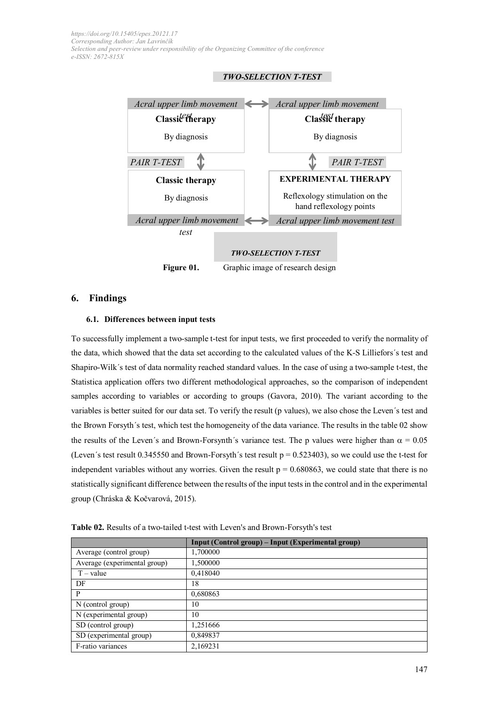



### **6. Findings**

#### **6.1. Differences between input tests**

To successfully implement a two-sample t-test for input tests, we first proceeded to verify the normality of the data, which showed that the data set according to the calculated values of the K-S Lilliefors´s test and Shapiro-Wilk´s test of data normality reached standard values. In the case of using a two-sample t-test, the Statistica application offers two different methodological approaches, so the comparison of independent samples according to variables or according to groups (Gavora, 2010). The variant according to the variables is better suited for our data set. To verify the result (p values), we also chose the Leven´s test and the Brown Forsyth´s test, which test the homogeneity of the data variance. The results in the table 02 show the results of the Leven's and Brown-Forsynth's variance test. The p values were higher than  $\alpha = 0.05$ (Leven's test result 0.345550 and Brown-Forsyth's test result  $p = 0.523403$ ), so we could use the t-test for independent variables without any worries. Given the result  $p = 0.680863$ , we could state that there is no statistically significant difference between the results of the input tests in the control and in the experimental group (Chráska & Kočvarová, 2015).

|                              | Input (Control group) – Input (Experimental group) |
|------------------------------|----------------------------------------------------|
| Average (control group)      | 1,700000                                           |
| Average (experimental group) | 1,500000                                           |
| $T - value$                  | 0,418040                                           |
| DF                           | 18                                                 |
| P                            | 0,680863                                           |
| $N$ (control group)          | 10                                                 |
| N (experimental group)       | 10                                                 |
| SD (control group)           | 1,251666                                           |
| SD (experimental group)      | 0,849837                                           |
| F-ratio variances            | 2,169231                                           |

**Table 02.** Results of a two-tailed t-test with Leven's and Brown-Forsyth's test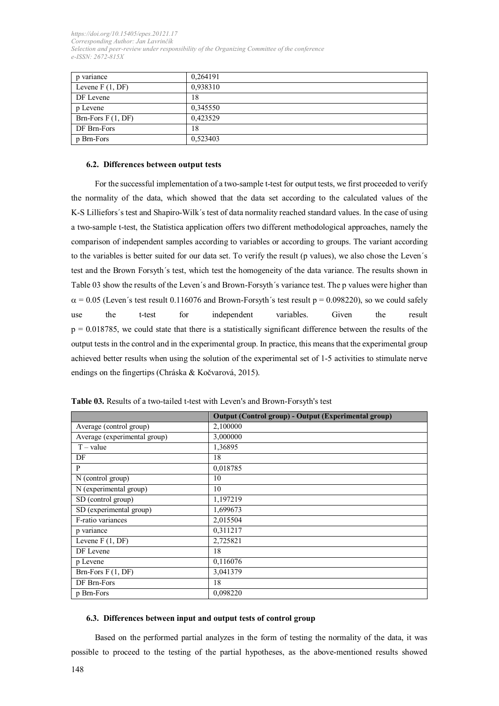| p variance          | 0,264191 |
|---------------------|----------|
| Levene $F(1, DF)$   | 0,938310 |
| DF Levene           | 18       |
| p Levene            | 0,345550 |
| Brn-Fors $F(1, DF)$ | 0,423529 |
| DF Brn-Fors         | 18       |
| p Brn-Fors          | 0,523403 |

#### **6.2. Differences between output tests**

For the successful implementation of a two-sample t-test for output tests, we first proceeded to verify the normality of the data, which showed that the data set according to the calculated values of the K-S Lilliefors´s test and Shapiro-Wilk´s test of data normality reached standard values. In the case of using a two-sample t-test, the Statistica application offers two different methodological approaches, namely the comparison of independent samples according to variables or according to groups. The variant according to the variables is better suited for our data set. To verify the result (p values), we also chose the Leven´s test and the Brown Forsyth´s test, which test the homogeneity of the data variance. The results shown in Table 03 show the results of the Leven´s and Brown-Forsyth´s variance test. The p values were higher than  $\alpha$  = 0.05 (Leven's test result 0.116076 and Brown-Forsyth's test result p = 0.098220), so we could safely use the t-test for independent variables. Given the result  $p = 0.018785$ , we could state that there is a statistically significant difference between the results of the output tests in the control and in the experimental group. In practice, this means that the experimental group achieved better results when using the solution of the experimental set of 1-5 activities to stimulate nerve endings on the fingertips (Chráska & Kočvarová, 2015).

|                                     | <b>Output (Control group) - Output (Experimental group)</b> |
|-------------------------------------|-------------------------------------------------------------|
| Average (control group)             | 2,100000                                                    |
| Average (experimental group)        | 3,000000                                                    |
| $T - value$                         | 1,36895                                                     |
| DF                                  | 18                                                          |
| P                                   | 0,018785                                                    |
| N (control group)                   | 10                                                          |
| $\overline{N}$ (experimental group) | 10                                                          |
| SD (control group)                  | 1,197219                                                    |
| SD (experimental group)             | 1,699673                                                    |
| F-ratio variances                   | 2,015504                                                    |
| p variance                          | 0,311217                                                    |
| Levene $F(1, DF)$                   | 2,725821                                                    |
| DF Levene                           | 18                                                          |
| p Levene                            | 0,116076                                                    |
| Brn-Fors $F(1, DF)$                 | 3,041379                                                    |
| DF Brn-Fors                         | 18                                                          |
| p Brn-Fors                          | 0,098220                                                    |

**Table 03.** Results of a two-tailed t-test with Leven's and Brown-Forsyth's test

#### **6.3. Differences between input and output tests of control group**

Based on the performed partial analyzes in the form of testing the normality of the data, it was possible to proceed to the testing of the partial hypotheses, as the above-mentioned results showed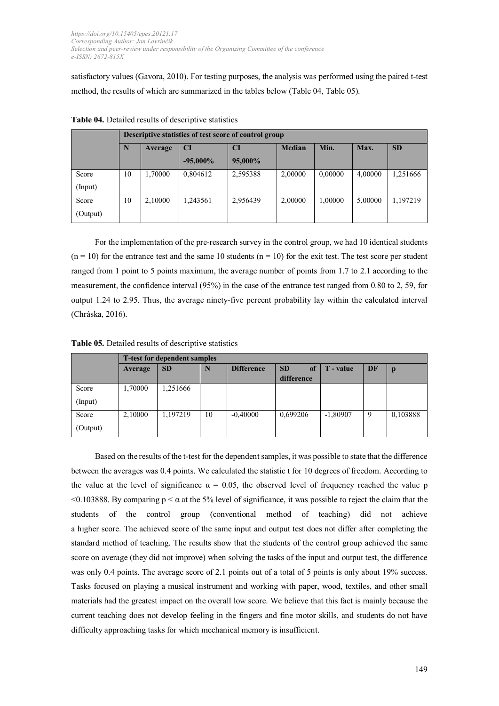satisfactory values (Gavora, 2010). For testing purposes, the analysis was performed using the paired t-test method, the results of which are summarized in the tables below (Table 04, Table 05).

|          | Descriptive statistics of test score of control group |         |             |          |               |         |         |           |  |
|----------|-------------------------------------------------------|---------|-------------|----------|---------------|---------|---------|-----------|--|
|          | N<br>Average                                          |         | <b>CI</b>   | CI       | <b>Median</b> | Min.    | Max.    | <b>SD</b> |  |
|          |                                                       |         | $-95,000\%$ | 95,000%  |               |         |         |           |  |
| Score    | 10                                                    | 1,70000 | 0,804612    | 2,595388 | 2,00000       | 0,00000 | 4,00000 | 1,251666  |  |
| (Input)  |                                                       |         |             |          |               |         |         |           |  |
| Score    | 10                                                    | 2,10000 | 1,243561    | 2,956439 | 2,00000       | 1,00000 | 5,00000 | 1,197219  |  |
| (Output) |                                                       |         |             |          |               |         |         |           |  |

**Table 04.** Detailed results of descriptive statistics

For the implementation of the pre-research survey in the control group, we had 10 identical students  $(n = 10)$  for the entrance test and the same 10 students  $(n = 10)$  for the exit test. The test score per student ranged from 1 point to 5 points maximum, the average number of points from 1.7 to 2.1 according to the measurement, the confidence interval (95%) in the case of the entrance test ranged from 0.80 to 2, 59, for output 1.24 to 2.95. Thus, the average ninety-five percent probability lay within the calculated interval (Chráska, 2016).

**Table 05.** Detailed results of descriptive statistics

|                   | <b>T-test for dependent samples</b> |           |    |                   |                               |            |    |          |  |
|-------------------|-------------------------------------|-----------|----|-------------------|-------------------------------|------------|----|----------|--|
|                   | Average                             | <b>SD</b> | N  | <b>Difference</b> | <b>SD</b><br>of<br>difference | T - value  | DF | p        |  |
| Score<br>(Input)  | 1,70000                             | .251666   |    |                   |                               |            |    |          |  |
| Score<br>(Output) | 2,10000                             | 1,197219  | 10 | $-0,40000$        | 0,699206                      | $-1,80907$ | 9  | 0,103888 |  |

Based on the results of the t-test for the dependent samples, it was possible to state that the difference between the averages was 0.4 points. We calculated the statistic t for 10 degrees of freedom. According to the value at the level of significance  $\alpha = 0.05$ , the observed level of frequency reached the value p <0.103888. By comparing p < α at the 5% level of significance, it was possible to reject the claim that the students of the control group (conventional method of teaching) did not achieve a higher score. The achieved score of the same input and output test does not differ after completing the standard method of teaching. The results show that the students of the control group achieved the same score on average (they did not improve) when solving the tasks of the input and output test, the difference was only 0.4 points. The average score of 2.1 points out of a total of 5 points is only about 19% success. Tasks focused on playing a musical instrument and working with paper, wood, textiles, and other small materials had the greatest impact on the overall low score. We believe that this fact is mainly because the current teaching does not develop feeling in the fingers and fine motor skills, and students do not have difficulty approaching tasks for which mechanical memory is insufficient.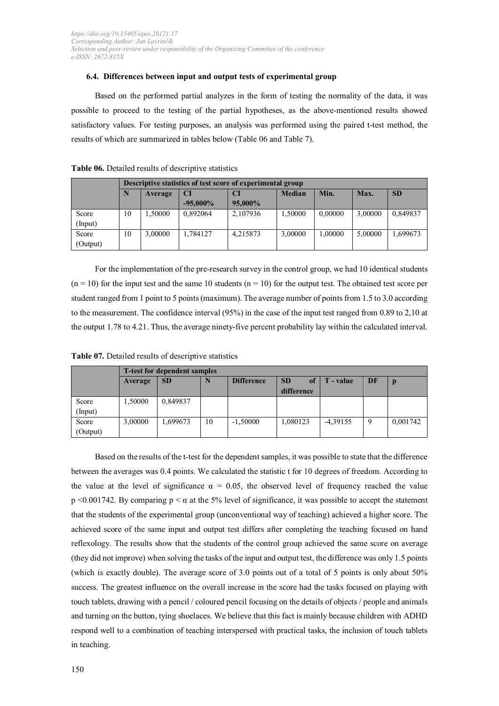#### **6.4. Differences between input and output tests of experimental group**

Based on the performed partial analyzes in the form of testing the normality of the data, it was possible to proceed to the testing of the partial hypotheses, as the above-mentioned results showed satisfactory values. For testing purposes, an analysis was performed using the paired t-test method, the results of which are summarized in tables below (Table 06 and Table 7).

|          |    | Descriptive statistics of test score of experimental group |             |          |               |         |         |           |  |  |
|----------|----|------------------------------------------------------------|-------------|----------|---------------|---------|---------|-----------|--|--|
|          | N  | Average                                                    | CI          | CI       | <b>Median</b> | Min.    | Max.    | <b>SD</b> |  |  |
|          |    |                                                            | $-95,000\%$ | 95,000%  |               |         |         |           |  |  |
| Score    | 10 | 1,50000                                                    | 0,892064    | 2,107936 | 1,50000       | 0,00000 | 3,00000 | 0,849837  |  |  |
| (Input)  |    |                                                            |             |          |               |         |         |           |  |  |
| Score    | 10 | 3,00000                                                    | 1,784127    | 4,215873 | 3,00000       | 1,00000 | 5,00000 | 1,699673  |  |  |
| (Output) |    |                                                            |             |          |               |         |         |           |  |  |

#### **Table 06.** Detailed results of descriptive statistics

For the implementation of the pre-research survey in the control group, we had 10 identical students  $(n = 10)$  for the input test and the same 10 students  $(n = 10)$  for the output test. The obtained test score per student ranged from 1 point to 5 points (maximum). The average number of points from 1.5 to 3.0 according to the measurement. The confidence interval (95%) in the case of the input test ranged from 0.89 to 2,10 at the output 1.78 to 4.21. Thus, the average ninety-five percent probability lay within the calculated interval.

|          | <b>T</b> -test for dependent samples |           |    |                   |                                          |            |    |          |  |  |
|----------|--------------------------------------|-----------|----|-------------------|------------------------------------------|------------|----|----------|--|--|
|          | Average                              | <b>SD</b> |    | <b>Difference</b> | <b>SD</b><br><sub>of</sub><br>difference | T - value  | DF | D        |  |  |
|          |                                      |           |    |                   |                                          |            |    |          |  |  |
| Score    | 1,50000                              | 0,849837  |    |                   |                                          |            |    |          |  |  |
| (Input)  |                                      |           |    |                   |                                          |            |    |          |  |  |
| Score    | 3,00000                              | 1,699673  | 10 | $-1,50000$        | 1,080123                                 | $-4,39155$ | 9  | 0,001742 |  |  |
| (Output) |                                      |           |    |                   |                                          |            |    |          |  |  |

**Table 07.** Detailed results of descriptive statistics

Based on the results of the t-test for the dependent samples, it was possible to state that the difference between the averages was 0.4 points. We calculated the statistic t for 10 degrees of freedom. According to the value at the level of significance  $\alpha = 0.05$ , the observed level of frequency reached the value p <0.001742. By comparing  $p < \alpha$  at the 5% level of significance, it was possible to accept the statement that the students of the experimental group (unconventional way of teaching) achieved a higher score. The achieved score of the same input and output test differs after completing the teaching focused on hand reflexology. The results show that the students of the control group achieved the same score on average (they did not improve) when solving the tasks of the input and output test, the difference was only 1.5 points (which is exactly double). The average score of 3.0 points out of a total of 5 points is only about 50% success. The greatest influence on the overall increase in the score had the tasks focused on playing with touch tablets, drawing with a pencil / coloured pencil focusing on the details of objects / people and animals and turning on the button, tying shoelaces. We believe that this fact is mainly because children with ADHD respond well to a combination of teaching interspersed with practical tasks, the inclusion of touch tablets in teaching.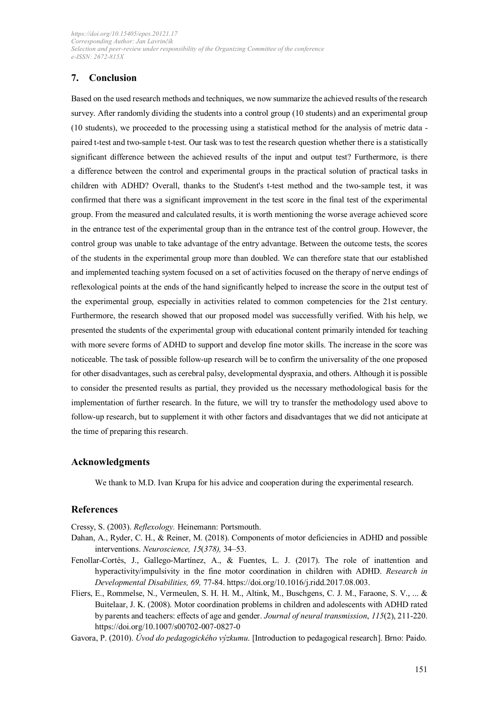### **7. Conclusion**

Based on the used research methods and techniques, we now summarize the achieved results of the research survey. After randomly dividing the students into a control group (10 students) and an experimental group (10 students), we proceeded to the processing using a statistical method for the analysis of metric data paired t-test and two-sample t-test. Our task was to test the research question whether there is a statistically significant difference between the achieved results of the input and output test? Furthermore, is there a difference between the control and experimental groups in the practical solution of practical tasks in children with ADHD? Overall, thanks to the Student's t-test method and the two-sample test, it was confirmed that there was a significant improvement in the test score in the final test of the experimental group. From the measured and calculated results, it is worth mentioning the worse average achieved score in the entrance test of the experimental group than in the entrance test of the control group. However, the control group was unable to take advantage of the entry advantage. Between the outcome tests, the scores of the students in the experimental group more than doubled. We can therefore state that our established and implemented teaching system focused on a set of activities focused on the therapy of nerve endings of reflexological points at the ends of the hand significantly helped to increase the score in the output test of the experimental group, especially in activities related to common competencies for the 21st century. Furthermore, the research showed that our proposed model was successfully verified. With his help, we presented the students of the experimental group with educational content primarily intended for teaching with more severe forms of ADHD to support and develop fine motor skills. The increase in the score was noticeable. The task of possible follow-up research will be to confirm the universality of the one proposed for other disadvantages, such as cerebral palsy, developmental dyspraxia, and others. Although it is possible to consider the presented results as partial, they provided us the necessary methodological basis for the implementation of further research. In the future, we will try to transfer the methodology used above to follow-up research, but to supplement it with other factors and disadvantages that we did not anticipate at the time of preparing this research.

### **Acknowledgments**

We thank to M.D. Ivan Krupa for his advice and cooperation during the experimental research.

### **References**

Cressy, S. (2003). *Reflexology.* Heinemann: Portsmouth.

- Dahan, A., Ryder, C. H., & Reiner, M. (2018). Components of motor deficiencies in ADHD and possible interventions. *Neuroscience, 15*(*378),* 34–53.
- Fenollar-Cortés, J., Gallego-Martínez, A., & Fuentes, L. J. (2017). The role of inattention and hyperactivity/impulsivity in the fine motor coordination in children with ADHD. *Research in Developmental Disabilities, 69,* 77-84. https://doi.org/10.1016/j.ridd.2017.08.003.
- Fliers, E., Rommelse, N., Vermeulen, S. H. H. M., Altink, M., Buschgens, C. J. M., Faraone, S. V., ... & Buitelaar, J. K. (2008). Motor coordination problems in children and adolescents with ADHD rated by parents and teachers: effects of age and gender. *Journal of neural transmission*, *115*(2), 211-220. https://doi.org/10.1007/s00702-007-0827-0

Gavora, P. (2010). *Úvod do pedagogického výzkumu*. [Introduction to pedagogical research]. Brno: Paido.